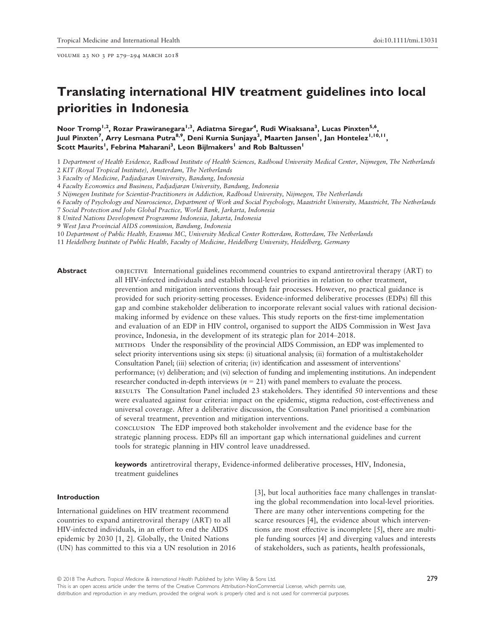volume 23 no 3 pp 279–294 march 2018

# Translating international HIV treatment guidelines into local priorities in Indonesia

Noor Tromp<sup>1,2</sup>, Rozar Prawiranegara<sup>1,3</sup>, Adiatma Siregar<sup>4</sup>, Rudi Wisaksana<sup>3</sup>, Lucas Pinxten<sup>5,6</sup>, Juul Pinxten<sup>7</sup>, Arry Lesmana Putra<sup>8,9</sup>, Deni Kurnia Sunjaya<sup>3</sup>, Maarten Jansen<sup>1</sup>, Jan Hontelez<sup>1,10,11</sup>, Scott Maurits<sup>1</sup>, Febrina Maharani<sup>3</sup>, Leon Bijlmakers<sup>1</sup> and Rob Baltussen<sup>1</sup>

1 Department of Health Evidence, Radboud Institute of Health Sciences, Radboud University Medical Center, Nijmegen, The Netherlands

2 KIT (Royal Tropical Institute), Amsterdam, The Netherlands

3 Faculty of Medicine, Padjadjaran University, Bandung, Indonesia

4 Faculty Economics and Business, Padjadjaran University, Bandung, Indonesia

5 Nijmegen Institute for Scientist-Practitioners in Addiction, Radboud University, Nijmegen, The Netherlands

- 6 Faculty of Psychology and Neuroscience, Department of Work and Social Psychology, Maastricht University, Maastricht, The Netherlands
- 7 Social Protection and Jobs Global Practice, World Bank, Jarkarta, Indonesia

8 United Nations Development Programme Indonesia, Jakarta, Indonesia

9 West Java Provincial AIDS commission, Bandung, Indonesia

10 Department of Public Health, Erasmus MC, University Medical Center Rotterdam, Rotterdam, The Netherlands

11 Heidelberg Institute of Public Health, Faculty of Medicine, Heidelberg University, Heidelberg, Germany

**Abstract** objective International guidelines recommend countries to expand antiretroviral therapy (ART) to all HIV-infected individuals and establish local-level priorities in relation to other treatment, prevention and mitigation interventions through fair processes. However, no practical guidance is provided for such priority-setting processes. Evidence-informed deliberative processes (EDPs) fill this gap and combine stakeholder deliberation to incorporate relevant social values with rational decisionmaking informed by evidence on these values. This study reports on the first-time implementation and evaluation of an EDP in HIV control, organised to support the AIDS Commission in West Java province, Indonesia, in the development of its strategic plan for 2014–2018. methods Under the responsibility of the provincial AIDS Commission, an EDP was implemented to select priority interventions using six steps: (i) situational analysis; (ii) formation of a multistakeholder Consultation Panel; (iii) selection of criteria; (iv) identification and assessment of interventions' performance; (v) deliberation; and (vi) selection of funding and implementing institutions. An independent researcher conducted in-depth interviews ( $n = 21$ ) with panel members to evaluate the process. results The Consultation Panel included 23 stakeholders. They identified 50 interventions and these were evaluated against four criteria: impact on the epidemic, stigma reduction, cost-effectiveness and universal coverage. After a deliberative discussion, the Consultation Panel prioritised a combination of several treatment, prevention and mitigation interventions.

conclusion The EDP improved both stakeholder involvement and the evidence base for the strategic planning process. EDPs fill an important gap which international guidelines and current tools for strategic planning in HIV control leave unaddressed.

keywords antiretroviral therapy, Evidence-informed deliberative processes, HIV, Indonesia, treatment guidelines

#### Introduction

International guidelines on HIV treatment recommend countries to expand antiretroviral therapy (ART) to all HIV-infected individuals, in an effort to end the AIDS epidemic by 2030 [1, 2]. Globally, the United Nations (UN) has committed to this via a UN resolution in 2016 [3], but local authorities face many challenges in translating the global recommendation into local-level priorities. There are many other interventions competing for the scarce resources [4], the evidence about which interventions are most effective is incomplete [5], there are multiple funding sources [4] and diverging values and interests of stakeholders, such as patients, health professionals,

© 2018 The Authors. Tropical Medicine & International Health Published by John Wiley & Sons Ltd. 279 This is an open access article under the terms of the [Creative Commons Attribution-NonCommercial](http://creativecommons.org/licenses/by-nc/4.0/) License, which permits use, distribution and reproduction in any medium, provided the original work is properly cited and is not used for commercial purposes.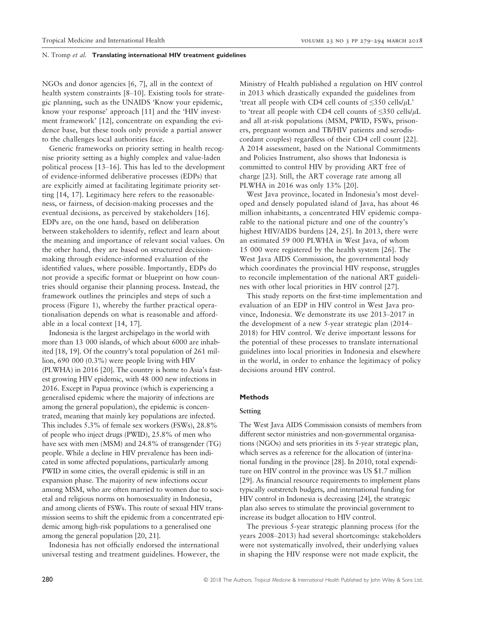NGOs and donor agencies [6, 7], all in the context of health system constraints [8–10]. Existing tools for strategic planning, such as the UNAIDS 'Know your epidemic, know your response' approach [11] and the 'HIV investment framework' [12], concentrate on expanding the evidence base, but these tools only provide a partial answer to the challenges local authorities face.

Generic frameworks on priority setting in health recognise priority setting as a highly complex and value-laden political process [13–16]. This has led to the development of evidence-informed deliberative processes (EDPs) that are explicitly aimed at facilitating legitimate priority setting [14, 17]. Legitimacy here refers to the reasonableness, or fairness, of decision-making processes and the eventual decisions, as perceived by stakeholders [16]. EDPs are, on the one hand, based on deliberation between stakeholders to identify, reflect and learn about the meaning and importance of relevant social values. On the other hand, they are based on structured decisionmaking through evidence-informed evaluation of the identified values, where possible. Importantly, EDPs do not provide a specific format or blueprint on how countries should organise their planning process. Instead, the framework outlines the principles and steps of such a process (Figure 1), whereby the further practical operationalisation depends on what is reasonable and affordable in a local context [14, 17].

Indonesia is the largest archipelago in the world with more than 13 000 islands, of which about 6000 are inhabited [18, 19]. Of the country's total population of 261 million, 690 000 (0.3%) were people living with HIV (PLWHA) in 2016 [20]. The country is home to Asia's fastest growing HIV epidemic, with 48 000 new infections in 2016. Except in Papua province (which is experiencing a generalised epidemic where the majority of infections are among the general population), the epidemic is concentrated, meaning that mainly key populations are infected. This includes 5.3% of female sex workers (FSWs), 28.8% of people who inject drugs (PWID), 25.8% of men who have sex with men (MSM) and 24.8% of transgender (TG) people. While a decline in HIV prevalence has been indicated in some affected populations, particularly among PWID in some cities, the overall epidemic is still in an expansion phase. The majority of new infections occur among MSM, who are often married to women due to societal and religious norms on homosexuality in Indonesia, and among clients of FSWs. This route of sexual HIV transmission seems to shift the epidemic from a concentrated epidemic among high-risk populations to a generalised one among the general population [20, 21].

Indonesia has not officially endorsed the international universal testing and treatment guidelines. However, the

Ministry of Health published a regulation on HIV control in 2013 which drastically expanded the guidelines from 'treat all people with CD4 cell counts of  $\leq$ 350 cells/ $\mu$ L' to 'treat all people with CD4 cell counts of  $\leq$ 350 cells/ $\mu$ L and all at-risk populations (MSM, PWID, FSWs, prisoners, pregnant women and TB/HIV patients and serodiscordant couples) regardless of their CD4 cell count [22]. A 2014 assessment, based on the National Commitments and Policies Instrument, also shows that Indonesia is committed to control HIV by providing ART free of charge [23]. Still, the ART coverage rate among all PLWHA in 2016 was only 13% [20].

West Java province, located in Indonesia's most developed and densely populated island of Java, has about 46 million inhabitants, a concentrated HIV epidemic comparable to the national picture and one of the country's highest HIV/AIDS burdens [24, 25]. In 2013, there were an estimated 59 000 PLWHA in West Java, of whom 15 000 were registered by the health system [26]. The West Java AIDS Commission, the governmental body which coordinates the provincial HIV response, struggles to reconcile implementation of the national ART guidelines with other local priorities in HIV control [27].

This study reports on the first-time implementation and evaluation of an EDP in HIV control in West Java province, Indonesia. We demonstrate its use 2013–2017 in the development of a new 5-year strategic plan (2014– 2018) for HIV control. We derive important lessons for the potential of these processes to translate international guidelines into local priorities in Indonesia and elsewhere in the world, in order to enhance the legitimacy of policy decisions around HIV control.

#### Methods

#### Setting

The West Java AIDS Commission consists of members from different sector ministries and non-governmental organisations (NGOs) and sets priorities in its 5-year strategic plan, which serves as a reference for the allocation of (inter)national funding in the province [28]. In 2010, total expenditure on HIV control in the province was US \$1.7 million [29]. As financial resource requirements to implement plans typically outstretch budgets, and international funding for HIV control in Indonesia is decreasing [24], the strategic plan also serves to stimulate the provincial government to increase its budget allocation to HIV control.

The previous 5-year strategic planning process (for the years 2008–2013) had several shortcomings: stakeholders were not systematically involved, their underlying values in shaping the HIV response were not made explicit, the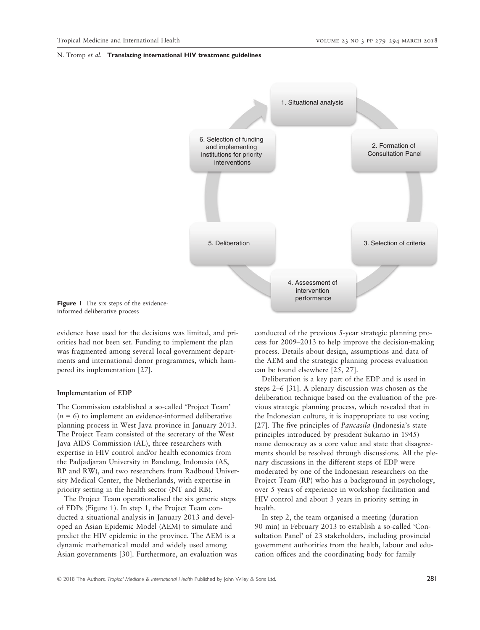

Figure 1 The six steps of the evidenceinformed deliberative process

evidence base used for the decisions was limited, and priorities had not been set. Funding to implement the plan was fragmented among several local government departments and international donor programmes, which hampered its implementation [27].

#### Implementation of EDP

The Commission established a so-called 'Project Team'  $(n = 6)$  to implement an evidence-informed deliberative planning process in West Java province in January 2013. The Project Team consisted of the secretary of the West Java AIDS Commission (AL), three researchers with expertise in HIV control and/or health economics from the Padjadjaran University in Bandung, Indonesia (AS, RP and RW), and two researchers from Radboud University Medical Center, the Netherlands, with expertise in priority setting in the health sector (NT and RB).

The Project Team operationalised the six generic steps of EDPs (Figure 1). In step 1, the Project Team conducted a situational analysis in January 2013 and developed an Asian Epidemic Model (AEM) to simulate and predict the HIV epidemic in the province. The AEM is a dynamic mathematical model and widely used among Asian governments [30]. Furthermore, an evaluation was conducted of the previous 5-year strategic planning process for 2009–2013 to help improve the decision-making process. Details about design, assumptions and data of the AEM and the strategic planning process evaluation can be found elsewhere [25, 27].

Deliberation is a key part of the EDP and is used in steps 2–6 [31]. A plenary discussion was chosen as the deliberation technique based on the evaluation of the previous strategic planning process, which revealed that in the Indonesian culture, it is inappropriate to use voting [27]. The five principles of *Pancasila* (Indonesia's state principles introduced by president Sukarno in 1945) name democracy as a core value and state that disagreements should be resolved through discussions. All the plenary discussions in the different steps of EDP were moderated by one of the Indonesian researchers on the Project Team (RP) who has a background in psychology, over 5 years of experience in workshop facilitation and HIV control and about 3 years in priority setting in health.

In step 2, the team organised a meeting (duration 90 min) in February 2013 to establish a so-called 'Consultation Panel' of 23 stakeholders, including provincial government authorities from the health, labour and education offices and the coordinating body for family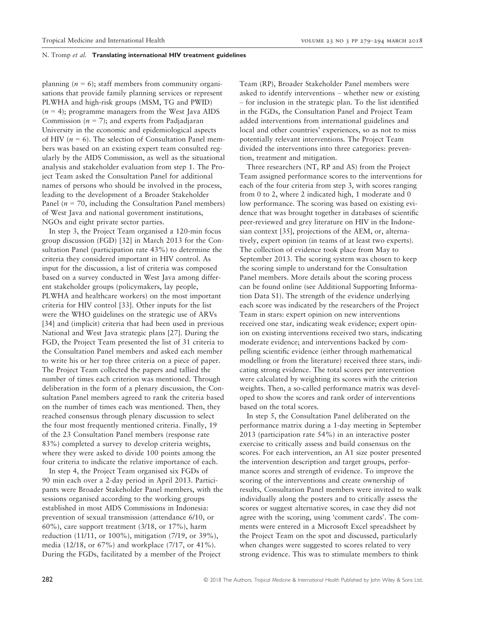planning  $(n = 6)$ ; staff members from community organisations that provide family planning services or represent PLWHA and high-risk groups (MSM, TG and PWID)  $(n = 4)$ ; programme managers from the West Java AIDS Commission  $(n = 7)$ ; and experts from Padjadjaran University in the economic and epidemiological aspects of HIV ( $n = 6$ ). The selection of Consultation Panel members was based on an existing expert team consulted regularly by the AIDS Commission, as well as the situational analysis and stakeholder evaluation from step 1. The Project Team asked the Consultation Panel for additional names of persons who should be involved in the process, leading to the development of a Broader Stakeholder Panel ( $n = 70$ , including the Consultation Panel members) of West Java and national government institutions, NGOs and eight private sector parties.

In step 3, the Project Team organised a 120-min focus group discussion (FGD) [32] in March 2013 for the Consultation Panel (participation rate 43%) to determine the criteria they considered important in HIV control. As input for the discussion, a list of criteria was composed based on a survey conducted in West Java among different stakeholder groups (policymakers, lay people, PLWHA and healthcare workers) on the most important criteria for HIV control [33]. Other inputs for the list were the WHO guidelines on the strategic use of ARVs [34] and (implicit) criteria that had been used in previous National and West Java strategic plans [27]. During the FGD, the Project Team presented the list of 31 criteria to the Consultation Panel members and asked each member to write his or her top three criteria on a piece of paper. The Project Team collected the papers and tallied the number of times each criterion was mentioned. Through deliberation in the form of a plenary discussion, the Consultation Panel members agreed to rank the criteria based on the number of times each was mentioned. Then, they reached consensus through plenary discussion to select the four most frequently mentioned criteria. Finally, 19 of the 23 Consultation Panel members (response rate 83%) completed a survey to develop criteria weights, where they were asked to divide 100 points among the four criteria to indicate the relative importance of each.

In step 4, the Project Team organised six FGDs of 90 min each over a 2-day period in April 2013. Participants were Broader Stakeholder Panel members, with the sessions organised according to the working groups established in most AIDS Commissions in Indonesia: prevention of sexual transmission (attendance 6/10, or 60%), care support treatment (3/18, or 17%), harm reduction (11/11, or 100%), mitigation (7/19, or 39%), media (12/18, or 67%) and workplace (7/17, or 41%). During the FGDs, facilitated by a member of the Project

Team (RP), Broader Stakeholder Panel members were asked to identify interventions – whether new or existing – for inclusion in the strategic plan. To the list identified in the FGDs, the Consultation Panel and Project Team added interventions from international guidelines and local and other countries' experiences, so as not to miss potentially relevant interventions. The Project Team divided the interventions into three categories: prevention, treatment and mitigation.

Three researchers (NT, RP and AS) from the Project Team assigned performance scores to the interventions for each of the four criteria from step 3, with scores ranging from 0 to 2, where 2 indicated high, 1 moderate and 0 low performance. The scoring was based on existing evidence that was brought together in databases of scientific peer-reviewed and grey literature on HIV in the Indonesian context [35], projections of the AEM, or, alternatively, expert opinion (in teams of at least two experts). The collection of evidence took place from May to September 2013. The scoring system was chosen to keep the scoring simple to understand for the Consultation Panel members. More details about the scoring process can be found online (see Additional Supporting Information Data S1). The strength of the evidence underlying each score was indicated by the researchers of the Project Team in stars: expert opinion on new interventions received one star, indicating weak evidence; expert opinion on existing interventions received two stars, indicating moderate evidence; and interventions backed by compelling scientific evidence (either through mathematical modelling or from the literature) received three stars, indicating strong evidence. The total scores per intervention were calculated by weighting its scores with the criterion weights. Then, a so-called performance matrix was developed to show the scores and rank order of interventions based on the total scores.

In step 5, the Consultation Panel deliberated on the performance matrix during a 1-day meeting in September 2013 (participation rate 54%) in an interactive poster exercise to critically assess and build consensus on the scores. For each intervention, an A1 size poster presented the intervention description and target groups, performance scores and strength of evidence. To improve the scoring of the interventions and create ownership of results, Consultation Panel members were invited to walk individually along the posters and to critically assess the scores or suggest alternative scores, in case they did not agree with the scoring, using 'comment cards'. The comments were entered in a Microsoft Excel spreadsheet by the Project Team on the spot and discussed, particularly when changes were suggested to scores related to very strong evidence. This was to stimulate members to think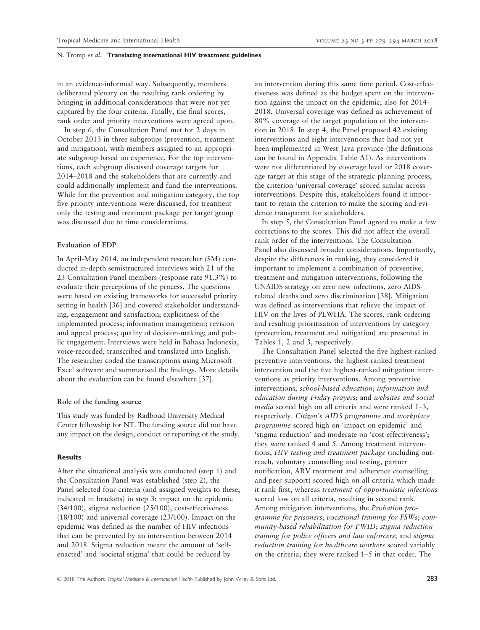in an evidence-informed way. Subsequently, members deliberated plenary on the resulting rank ordering by bringing in additional considerations that were not yet captured by the four criteria. Finally, the final scores, rank order and priority interventions were agreed upon.

In step 6, the Consultation Panel met for 2 days in October 2013 in three subgroups (prevention, treatment and mitigation), with members assigned to an appropriate subgroup based on experience. For the top interventions, each subgroup discussed coverage targets for 2014–2018 and the stakeholders that are currently and could additionally implement and fund the interventions. While for the prevention and mitigation category, the top five priority interventions were discussed, for treatment only the testing and treatment package per target group was discussed due to time considerations.

### Evaluation of EDP

In April-May 2014, an independent researcher (SM) conducted in-depth semistructured interviews with 21 of the 23 Consultation Panel members (response rate 91.3%) to evaluate their perceptions of the process. The questions were based on existing frameworks for successful priority setting in health [36] and covered stakeholder understanding, engagement and satisfaction; explicitness of the implemented process; information management; revision and appeal process; quality of decision-making; and public engagement. Interviews were held in Bahasa Indonesia, voice-recorded, transcribed and translated into English. The researcher coded the transcriptions using Microsoft Excel software and summarised the findings. More details about the evaluation can be found elsewhere [37].

#### Role of the funding source

This study was funded by Radboud University Medical Center fellowship for NT. The funding source did not have any impact on the design, conduct or reporting of the study.

### **Results**

After the situational analysis was conducted (step 1) and the Consultation Panel was established (step 2), the Panel selected four criteria (and assigned weights to these, indicated in brackets) in step 3: impact on the epidemic (34/100), stigma reduction (25/100), cost-effectiveness (18/100) and universal coverage (23/100). Impact on the epidemic was defined as the number of HIV infections that can be prevented by an intervention between 2014 and 2018. Stigma reduction meant the amount of 'selfenacted' and 'societal stigma' that could be reduced by

an intervention during this same time period. Cost-effectiveness was defined as the budget spent on the intervention against the impact on the epidemic, also for 2014– 2018. Universal coverage was defined as achievement of 80% coverage of the target population of the intervention in 2018. In step 4, the Panel proposed 42 existing interventions and eight interventions that had not yet been implemented in West Java province (the definitions can be found in Appendix Table A1). As interventions were not differentiated by coverage level or 2018 coverage target at this stage of the strategic planning process, the criterion 'universal coverage' scored similar across interventions. Despite this, stakeholders found it important to retain the criterion to make the scoring and evidence transparent for stakeholders.

In step 5, the Consultation Panel agreed to make a few corrections to the scores. This did not affect the overall rank order of the interventions. The Consultation Panel also discussed broader considerations. Importantly, despite the differences in ranking, they considered it important to implement a combination of preventive, treatment and mitigation interventions, following the UNAIDS strategy on zero new infections, zero AIDSrelated deaths and zero discrimination [38]. Mitigation was defined as interventions that relieve the impact of HIV on the lives of PLWHA. The scores, rank ordering and resulting prioritisation of interventions by category (prevention, treatment and mitigation) are presented in Tables 1, 2 and 3, respectively.

The Consultation Panel selected the five highest-ranked preventive interventions, the highest-ranked treatment intervention and the five highest-ranked mitigation interventions as priority interventions. Among preventive interventions, school-based education; information and education during Friday prayers; and websites and social media scored high on all criteria and were ranked 1-3, respectively. Citizen's AIDS programme and workplace programme scored high on 'impact on epidemic' and 'stigma reduction' and moderate on 'cost-effectiveness'; they were ranked 4 and 5. Among treatment interventions, HIV testing and treatment package (including outreach, voluntary counselling and testing, partner notification, ARV treatment and adherence counselling and peer support) scored high on all criteria which made it rank first, whereas treatment of opportunistic infections scored low on all criteria, resulting in second rank. Among mitigation interventions, the Probation programme for prisoners; vocational training for FSWs; community-based rehabilitation for PWID; stigma reduction training for police officers and law enforcers; and stigma reduction training for healthcare workers scored variably on the criteria; they were ranked 1–5 in that order. The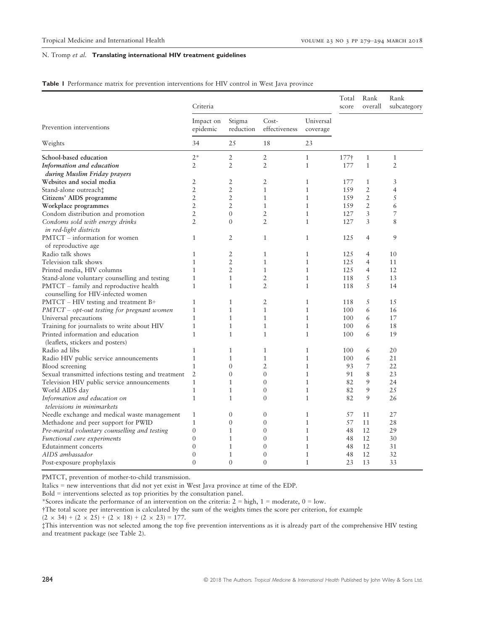|  | Table I Performance matrix for prevention interventions for HIV control in West Java province |  |  |  |  |  |  |  |  |
|--|-----------------------------------------------------------------------------------------------|--|--|--|--|--|--|--|--|
|--|-----------------------------------------------------------------------------------------------|--|--|--|--|--|--|--|--|

|                                                                              | Criteria              |                     |                          |                       | Total<br>score | Rank<br>overall | Rank<br>subcategory |
|------------------------------------------------------------------------------|-----------------------|---------------------|--------------------------|-----------------------|----------------|-----------------|---------------------|
| Prevention interventions                                                     | Impact on<br>epidemic | Stigma<br>reduction | $Cost-$<br>effectiveness | Universal<br>coverage |                |                 |                     |
| Weights                                                                      | 34                    | 25                  | 18                       | 23                    |                |                 |                     |
| School-based education                                                       | $2*$                  | $\overline{2}$      | $\overline{2}$           | $\mathbf{1}$          | 177†           | $\mathbf{1}$    | $\mathbf{1}$        |
| Information and education<br>during Muslim Friday prayers                    | 2                     | $\overline{2}$      | $\overline{2}$           | $\mathbf{1}$          | 177            | $\mathbf{1}$    | $\overline{2}$      |
| Websites and social media                                                    | $\overline{2}$        | $\overline{2}$      | 2                        | $\mathbf{1}$          | 177            | $\mathbf{1}$    | 3                   |
| Stand-alone outreach‡                                                        | $\overline{2}$        | $\overline{2}$      | $\mathbf{1}$             | $\mathbf{1}$          | 159            | $\overline{2}$  | $\overline{4}$      |
| Citizens' AIDS programme                                                     | $\overline{2}$        | $\overline{2}$      | $\mathbf{1}$             | $\mathbf{1}$          | 159            | $\overline{2}$  | 5                   |
| Workplace programmes                                                         | $\overline{2}$        | $\overline{2}$      | $\mathbf{1}$             | $\mathbf{1}$          | 159            | $\overline{2}$  | 6                   |
| Condom distribution and promotion                                            | $\overline{2}$        | $\overline{0}$      | $\overline{2}$           | $\mathbf{1}$          | 127            | 3               | 7                   |
| Condoms sold with energy drinks<br>in red-light districts                    | $\overline{2}$        | $\theta$            | $\overline{2}$           | $\mathbf{1}$          | 127            | 3               | 8                   |
| PMTCT - information for women<br>of reproductive age                         | 1                     | $\overline{2}$      | $\mathbf{1}$             | $\mathbf{1}$          | 125            | $\overline{4}$  | 9                   |
| Radio talk shows                                                             | 1                     | $\overline{2}$      | $\mathbf{1}$             | $\mathbf{1}$          | 125            | 4               | 10                  |
| Television talk shows                                                        | $\mathbf{1}$          | $\overline{2}$      | $\mathbf{1}$             | $\mathbf{1}$          | 125            | $\overline{4}$  | 11                  |
| Printed media, HIV columns                                                   | 1                     | $\overline{2}$      | $\mathbf{1}$             | $\mathbf{1}$          | 12.5           | 4               | 12                  |
| Stand-alone voluntary counselling and testing                                | $\mathbf{1}$          | $\mathbf{1}$        | $\sqrt{2}$               | $\mathbf{1}$          | 118            | 5               | 13                  |
| PMTCT - family and reproductive health<br>counselling for HIV-infected women | $\mathbf{1}$          | $\mathbf{1}$        | $\overline{2}$           | $\mathbf{1}$          | 118            | 5               | 14                  |
| PMTCT - HIV testing and treatment B+                                         | $\mathbf{1}$          | $\mathbf{1}$        | $\overline{2}$           | $\mathbf{1}$          | 118            | 5               | 15                  |
| PMTCT - opt-out testing for pregnant women                                   | $\mathbf{1}$          | $\mathbf{1}$        | $\mathbf{1}$             | $\mathbf{1}$          | 100            | 6               | 16                  |
| Universal precautions                                                        | $\mathbf{1}$          | $\mathbf{1}$        | $\mathbf{1}$             | $\mathbf{1}$          | 100            | 6               | 17                  |
| Training for journalists to write about HIV                                  | $\mathbf{1}$          | $\mathbf{1}$        | $\mathbf{1}$             | $\mathbf{1}$          | 100            | 6               | 18                  |
| Printed information and education<br>(leaflets, stickers and posters)        | $\mathbf{1}$          | $\mathbf{1}$        | $\mathbf{1}$             | $\mathbf{1}$          | 100            | 6               | 19                  |
| Radio ad libs                                                                | $\mathbf{1}$          | 1                   | $\mathbf{1}$             | $\mathbf{1}$          | 100            | 6               | 20                  |
| Radio HIV public service announcements                                       | $\mathbf{1}$          | $\mathbf{1}$        | $\mathbf{1}$             | $\mathbf{1}$          | 100            | 6               | 21                  |
| Blood screening                                                              | $\mathbf{1}$          | $\theta$            | $\overline{2}$           | $\mathbf{1}$          | 93             | 7               | 22                  |
| Sexual transmitted infections testing and treatment                          | $\overline{2}$        | $\overline{0}$      | $\overline{0}$           | $\mathbf{1}$          | 91             | 8               | 23                  |
| Television HIV public service announcements                                  | $\mathbf{1}$          | $\mathbf{1}$        | $\Omega$                 | $\mathbf{1}$          | 82             | 9               | 24                  |
| World AIDS day                                                               | $\mathbf{1}$          | $\mathbf{1}$        | $\mathbf{0}$             | $\mathbf{1}$          | 82             | 9               | 25                  |
| Information and education on                                                 | $\mathbf{1}$          | $\mathbf{1}$        | $\mathbf{0}$             | $\mathbf{1}$          | 82             | 9               | 26                  |
| televisions in minimarkets                                                   |                       |                     |                          |                       |                |                 |                     |
| Needle exchange and medical waste management                                 | $\mathbf{1}$          | $\overline{0}$      | $\mathbf{0}$             | $\mathbf{1}$          | 57             | 11              | 27                  |
| Methadone and peer support for PWID                                          | $\mathbf{1}$          | $\mathbf{0}$        | $\mathbf{0}$             | $\mathbf{1}$          | 57             | 11              | 28                  |
| Pre-marital voluntary counselling and testing                                | $\boldsymbol{0}$      | $\mathbf{1}$        | $\mathbf{0}$             | $\mathbf{1}$          | 48             | 12              | 29                  |
| Functional cure experiments                                                  | $\mathbf{0}$          | $\mathbf{1}$        | $\mathbf{0}$             | $\mathbf{1}$          | 48             | 12              | 30                  |
| <b>Edutainment</b> concerts                                                  | $\Omega$              | $\mathbf{1}$        | $\overline{0}$           | $\mathbf{1}$          | 48             | 12              | 31                  |
| AIDS ambassador                                                              | $\theta$              | $\mathbf{1}$        | $\mathbf{0}$             | $\mathbf{1}$          | 48             | 12              | 32                  |
| Post-exposure prophylaxis                                                    | $\Omega$              | $\theta$            | $\theta$                 | $\mathbf{1}$          | 23             | 13              | 33                  |

PMTCT, prevention of mother-to-child transmission.

Italics = new interventions that did not yet exist in West Java province at time of the EDP.

Bold = interventions selected as top priorities by the consultation panel.

\*Scores indicate the performance of an intervention on the criteria:  $2 =$  high,  $1 =$  moderate,  $0 =$  low.

†The total score per intervention is calculated by the sum of the weights times the score per criterion, for example

 $(2 \times 34) + (2 \times 25) + (2 \times 18) + (2 \times 23) = 177.$ 

‡This intervention was not selected among the top five prevention interventions as it is already part of the comprehensive HIV testing and treatment package (see Table 2).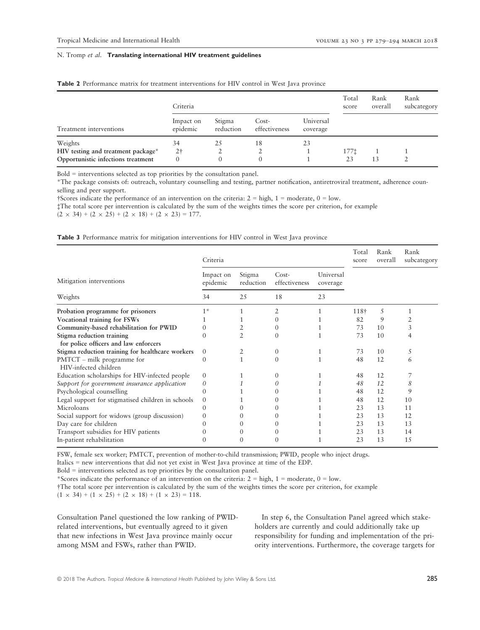|                                                                                     | Criteria              |                     |                          |                       | Total<br>score | Rank<br>overall | Rank<br>subcategory |
|-------------------------------------------------------------------------------------|-----------------------|---------------------|--------------------------|-----------------------|----------------|-----------------|---------------------|
| Treatment interventions                                                             | Impact on<br>epidemic | Stigma<br>reduction | $Cost-$<br>effectiveness | Universal<br>coverage |                |                 |                     |
| Weights<br>HIV testing and treatment package*<br>Opportunistic infections treatment | 34<br>2†              | 25                  | 18<br>0                  | 23                    | 1771<br>23     | 13              |                     |

Table 2 Performance matrix for treatment interventions for HIV control in West Java province

Bold = interventions selected as top priorities by the consultation panel.

\*The package consists of: outreach, voluntary counselling and testing, partner notification, antiretroviral treatment, adherence counselling and peer support.

†Scores indicate the performance of an intervention on the criteria: 2 = high, 1 = moderate, 0 = low.

‡The total score per intervention is calculated by the sum of the weights times the score per criterion, for example

 $(2 \times 34) + (2 \times 25) + (2 \times 18) + (2 \times 23) = 177.$ 

Table 3 Performance matrix for mitigation interventions for HIV control in West Java province

|                                                     | Criteria              |                     |                          |                       | Total<br>score | Rank<br>overall | Rank<br>subcategory |
|-----------------------------------------------------|-----------------------|---------------------|--------------------------|-----------------------|----------------|-----------------|---------------------|
| Mitigation interventions                            | Impact on<br>epidemic | Stigma<br>reduction | $Cost-$<br>effectiveness | Universal<br>coverage |                |                 |                     |
| Weights                                             | 34                    | 25                  | 18                       | 23                    |                |                 |                     |
| Probation programme for prisoners                   | $1*$                  |                     | 2                        |                       | 118†           | 5               |                     |
| Vocational training for FSWs                        |                       |                     |                          |                       | 82             | 9               |                     |
| Community-based rehabilitation for PWID             |                       |                     |                          |                       | 73             | 10              | 3                   |
| Stigma reduction training                           |                       | $\overline{2}$      |                          |                       | 73             | 10              | 4                   |
| for police officers and law enforcers               |                       |                     |                          |                       |                |                 |                     |
| Stigma reduction training for healthcare workers    | $\left( \right)$      |                     | 0                        |                       | 73             | 10              | 5                   |
| PMTCT – milk programme for<br>HIV-infected children |                       |                     | $\left( \right)$         |                       | 48             | 12              | 6                   |
| Education scholarships for HIV-infected people      | $\Omega$              |                     | $\left( \right)$         |                       | 48             | 12              |                     |
| Support for government insurance application        |                       |                     |                          |                       | 48             | 12              |                     |
| Psychological counselling                           |                       |                     |                          |                       | 48             | 12              | 9                   |
| Legal support for stigmatised children in schools   | $\theta$              |                     |                          |                       | 48             | 12              | 10                  |
| Microloans                                          |                       |                     |                          |                       | 23             | 13              | 11                  |
| Social support for widows (group discussion)        |                       |                     |                          |                       | 23             | 13              | 12                  |
| Day care for children                               |                       |                     |                          |                       | 23             | 13              | 13                  |
| Transport subsidies for HIV patients                |                       |                     |                          |                       | 23             | 13              | 14                  |
| In-patient rehabilitation                           |                       |                     |                          |                       | 23             | 13              | 15                  |

FSW, female sex worker; PMTCT, prevention of mother-to-child transmission; PWID, people who inject drugs.

Italics = new interventions that did not yet exist in West Java province at time of the EDP.

Bold = interventions selected as top priorities by the consultation panel.

\*Scores indicate the performance of an intervention on the criteria:  $2 =$  high,  $1 =$  moderate,  $0 =$  low.

†The total score per intervention is calculated by the sum of the weights times the score per criterion, for example

 $(1 \times 34) + (1 \times 25) + (2 \times 18) + (1 \times 23) = 118.$ 

Consultation Panel questioned the low ranking of PWIDrelated interventions, but eventually agreed to it given that new infections in West Java province mainly occur among MSM and FSWs, rather than PWID.

In step 6, the Consultation Panel agreed which stakeholders are currently and could additionally take up responsibility for funding and implementation of the priority interventions. Furthermore, the coverage targets for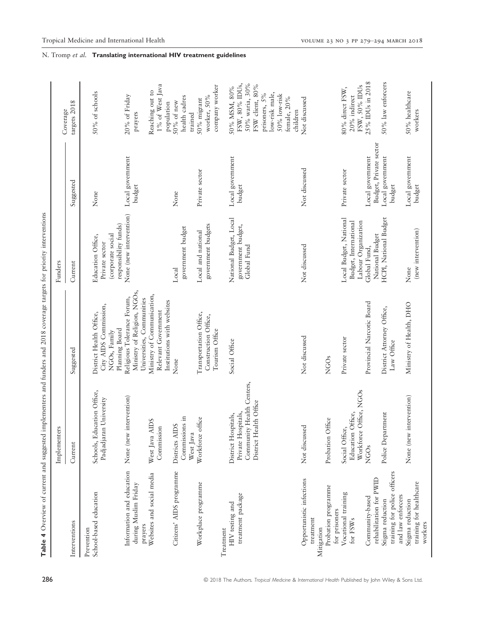|                                                                       | Implementers                                                                                        |                                                                                                          | Funders                                                                |                                            | Coverage                                                                                                                              |
|-----------------------------------------------------------------------|-----------------------------------------------------------------------------------------------------|----------------------------------------------------------------------------------------------------------|------------------------------------------------------------------------|--------------------------------------------|---------------------------------------------------------------------------------------------------------------------------------------|
| Interventions                                                         | Current                                                                                             | Suggested                                                                                                | Current                                                                | Suggested                                  | targets 2018                                                                                                                          |
| School-based education<br>Prevention                                  | Education Office,<br>Padjadjaran University<br>Schools,                                             | City AIDS Commission,<br>District Health Office,<br>NGO <sub>s</sub> , Family                            | (corporate social<br>Education Office,<br>Private sector               | None                                       | 50% of schools                                                                                                                        |
| Information and education<br>during Muslim Friday<br>prayers          | None (new intervention)                                                                             | Ministry of Religion, NGOs,<br>Religious Tolerance Forum,<br>Universities, Communities<br>Planning Board | None (new intervention)<br>responsibility funds)                       | Local government<br>budget                 | 20% of Friday<br>prayers                                                                                                              |
| Websites and social media                                             | West Java AIDS<br>Commission                                                                        | Ministry of Communication,<br>Institutions with websites<br>Relevant Government                          |                                                                        |                                            | 1% of West Java<br>Reaching out to<br>population                                                                                      |
| Citizens' AIDS programme                                              | Commissions in<br>Districts AIDS<br>West Java                                                       | None                                                                                                     | government budget<br>Local                                             | None                                       | health cadres<br>50% of new<br>trained                                                                                                |
| Workplace programme                                                   | Workforce office                                                                                    | Transportation Office,<br>Construction Office,<br>Tourism Office                                         | government budgets<br>Local and national                               | Private sector                             | company worker<br>worker, 50%<br>$50\%$ migrant                                                                                       |
| treatment package<br>HIV testing and<br>Treatment                     | Community Health Centers,<br>Health Office<br>Private Hospitals,<br>District Hospitals,<br>District | Social Office                                                                                            | National Budget, Local<br>government budget,<br>Global Fund            | Local government<br>budget                 | 50% waria, 30%<br>FSW, 80% IDUs,<br>FSW client, 80%<br>50% MSM, 80%<br>low-risk male,<br>prisoners, 5%<br>50% low-risk<br>female, 20% |
| Opportunistic infections<br>treatment<br>Mitigation                   | Not discussed                                                                                       | Not discussed                                                                                            | Not discussed                                                          | Not discussed                              | Not discussed<br>children                                                                                                             |
| Probation programme<br>for prisoners                                  | Probation Office                                                                                    | NGO <sub>s</sub>                                                                                         |                                                                        |                                            |                                                                                                                                       |
| Vocational training<br>for FSW <sub>s</sub>                           | Workforce Office, NGOs<br>Education Office,<br>ffice,<br>Social O                                   | Private sector                                                                                           | Local Budget, National<br>Budget, International<br>Labour Organization | Private sector                             | FSW, 50% IDUs<br>80% direct FSW,<br>20% indirect                                                                                      |
| rehabilitation for PWID<br>Community-based                            | <b>NGOs</b>                                                                                         | Provincial Narcotic Board                                                                                | National Budget<br>Global Fund,                                        | Budget, Private sector<br>Local government | 25% IDUs in 2018                                                                                                                      |
| training for police officers<br>and law enforcers<br>Stigma reduction | Police Department                                                                                   | District Attorney Office,<br>Law Office                                                                  | HCPI, National Budget                                                  | Local government<br>budget                 | 50% law enforcers                                                                                                                     |
| training for healthcare<br>Stigma reduction<br>workers                | None (new intervention)                                                                             | Ministry of Health, DHO                                                                                  | (new intervention)<br>None                                             | Local government<br>budget                 | 50% healthcare<br>workers                                                                                                             |

Table 4 Overview of current and suggested implementers and funders and 2018 coverage targets for priority interventions

Table 4 Overview of current and suggested implementers and funders and 2018 coverage targets for priority interventions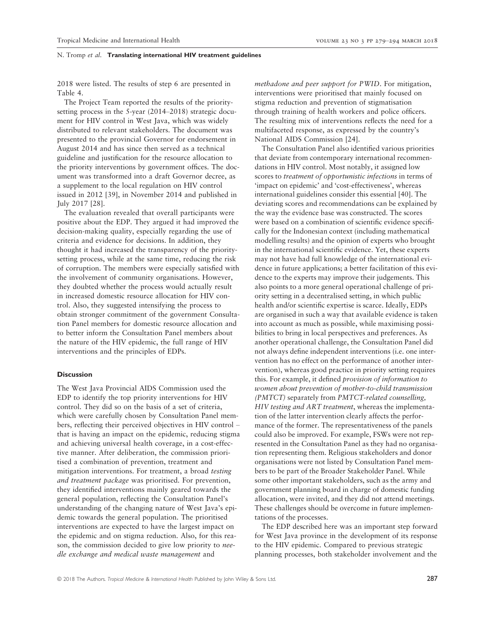2018 were listed. The results of step 6 are presented in Table 4.

The Project Team reported the results of the prioritysetting process in the 5-year (2014–2018) strategic document for HIV control in West Java, which was widely distributed to relevant stakeholders. The document was presented to the provincial Governor for endorsement in August 2014 and has since then served as a technical guideline and justification for the resource allocation to the priority interventions by government offices. The document was transformed into a draft Governor decree, as a supplement to the local regulation on HIV control issued in 2012 [39], in November 2014 and published in July 2017 [28].

The evaluation revealed that overall participants were positive about the EDP. They argued it had improved the decision-making quality, especially regarding the use of criteria and evidence for decisions. In addition, they thought it had increased the transparency of the prioritysetting process, while at the same time, reducing the risk of corruption. The members were especially satisfied with the involvement of community organisations. However, they doubted whether the process would actually result in increased domestic resource allocation for HIV control. Also, they suggested intensifying the process to obtain stronger commitment of the government Consultation Panel members for domestic resource allocation and to better inform the Consultation Panel members about the nature of the HIV epidemic, the full range of HIV interventions and the principles of EDPs.

### **Discussion**

The West Java Provincial AIDS Commission used the EDP to identify the top priority interventions for HIV control. They did so on the basis of a set of criteria, which were carefully chosen by Consultation Panel members, reflecting their perceived objectives in HIV control – that is having an impact on the epidemic, reducing stigma and achieving universal health coverage, in a cost-effective manner. After deliberation, the commission prioritised a combination of prevention, treatment and mitigation interventions. For treatment, a broad testing and treatment package was prioritised. For prevention, they identified interventions mainly geared towards the general population, reflecting the Consultation Panel's understanding of the changing nature of West Java's epidemic towards the general population. The prioritised interventions are expected to have the largest impact on the epidemic and on stigma reduction. Also, for this reason, the commission decided to give low priority to needle exchange and medical waste management and

methadone and peer support for PWID. For mitigation, interventions were prioritised that mainly focused on stigma reduction and prevention of stigmatisation through training of health workers and police officers. The resulting mix of interventions reflects the need for a multifaceted response, as expressed by the country's National AIDS Commission [24].

The Consultation Panel also identified various priorities that deviate from contemporary international recommendations in HIV control. Most notably, it assigned low scores to treatment of opportunistic infections in terms of 'impact on epidemic' and 'cost-effectiveness', whereas international guidelines consider this essential [40]. The deviating scores and recommendations can be explained by the way the evidence base was constructed. The scores were based on a combination of scientific evidence specifically for the Indonesian context (including mathematical modelling results) and the opinion of experts who brought in the international scientific evidence. Yet, these experts may not have had full knowledge of the international evidence in future applications; a better facilitation of this evidence to the experts may improve their judgements. This also points to a more general operational challenge of priority setting in a decentralised setting, in which public health and/or scientific expertise is scarce. Ideally, EDPs are organised in such a way that available evidence is taken into account as much as possible, while maximising possibilities to bring in local perspectives and preferences. As another operational challenge, the Consultation Panel did not always define independent interventions (i.e. one intervention has no effect on the performance of another intervention), whereas good practice in priority setting requires this. For example, it defined provision of information to women about prevention of mother-to-child transmission (PMTCT) separately from PMTCT-related counselling, HIV testing and ART treatment, whereas the implementation of the latter intervention clearly affects the performance of the former. The representativeness of the panels could also be improved. For example, FSWs were not represented in the Consultation Panel as they had no organisation representing them. Religious stakeholders and donor organisations were not listed by Consultation Panel members to be part of the Broader Stakeholder Panel. While some other important stakeholders, such as the army and government planning board in charge of domestic funding allocation, were invited, and they did not attend meetings. These challenges should be overcome in future implementations of the processes.

The EDP described here was an important step forward for West Java province in the development of its response to the HIV epidemic. Compared to previous strategic planning processes, both stakeholder involvement and the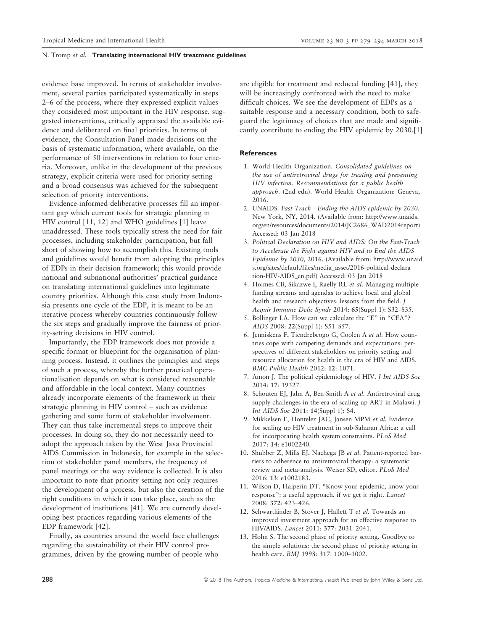evidence base improved. In terms of stakeholder involvement, several parties participated systematically in steps 2–6 of the process, where they expressed explicit values they considered most important in the HIV response, suggested interventions, critically appraised the available evidence and deliberated on final priorities. In terms of evidence, the Consultation Panel made decisions on the basis of systematic information, where available, on the performance of 50 interventions in relation to four criteria. Moreover, unlike in the development of the previous strategy, explicit criteria were used for priority setting and a broad consensus was achieved for the subsequent selection of priority interventions.

Evidence-informed deliberative processes fill an important gap which current tools for strategic planning in HIV control [11, 12] and WHO guidelines [1] leave unaddressed. These tools typically stress the need for fair processes, including stakeholder participation, but fall short of showing how to accomplish this. Existing tools and guidelines would benefit from adopting the principles of EDPs in their decision framework; this would provide national and subnational authorities' practical guidance on translating international guidelines into legitimate country priorities. Although this case study from Indonesia presents one cycle of the EDP, it is meant to be an iterative process whereby countries continuously follow the six steps and gradually improve the fairness of priority-setting decisions in HIV control.

Importantly, the EDP framework does not provide a specific format or blueprint for the organisation of planning process. Instead, it outlines the principles and steps of such a process, whereby the further practical operationalisation depends on what is considered reasonable and affordable in the local context. Many countries already incorporate elements of the framework in their strategic planning in HIV control – such as evidence gathering and some form of stakeholder involvement. They can thus take incremental steps to improve their processes. In doing so, they do not necessarily need to adopt the approach taken by the West Java Provincial AIDS Commission in Indonesia, for example in the selection of stakeholder panel members, the frequency of panel meetings or the way evidence is collected. It is also important to note that priority setting not only requires the development of a process, but also the creation of the right conditions in which it can take place, such as the development of institutions [41]. We are currently developing best practices regarding various elements of the EDP framework [42].

Finally, as countries around the world face challenges regarding the sustainability of their HIV control programmes, driven by the growing number of people who

are eligible for treatment and reduced funding [41], they will be increasingly confronted with the need to make difficult choices. We see the development of EDPs as a suitable response and a necessary condition, both to safeguard the legitimacy of choices that are made and significantly contribute to ending the HIV epidemic by 2030.[1]

#### **References**

- 1. World Health Organization. Consolidated guidelines on the use of antiretroviral drugs for treating and preventing HIV infection. Recommendations for a public health approach. (2nd edn). World Health Organization: Geneva, 2016.
- 2. UNAIDS. Fast Track Ending the AIDS epidemic by 2030. New York, NY, 2014. (Available from: [http://www.unaids.](http://www.unaids.org/en/resources/documents/2014/JC2686_WAD2014report) [org/en/resources/documents/2014/JC2686\\_WAD2014report\)](http://www.unaids.org/en/resources/documents/2014/JC2686_WAD2014report) Accessed: 03 Jan 2018
- 3. Political Declaration on HIV and AIDS: On the Fast-Track to Accelerate the Fight against HIV and to End the AIDS Epidemic by 2030, 2016. (Available from: [http://www.unaid](http://www.unaids.org/sites/default/files/media_asset/2016-political-declaration-HIV-AIDS_en.pdf) [s.org/sites/default/files/media\\_asset/2016-political-declara](http://www.unaids.org/sites/default/files/media_asset/2016-political-declaration-HIV-AIDS_en.pdf) [tion-HIV-AIDS\\_en.pdf](http://www.unaids.org/sites/default/files/media_asset/2016-political-declaration-HIV-AIDS_en.pdf)) Accessed: 03 Jan 2018
- 4. Holmes CB, Sikazwe I, Raelly RL et al. Managing multiple funding streams and agendas to achieve local and global health and research objectives: lessons from the field. J Acquir Immune Defic Syndr 2014: 65(Suppl 1): S32–S35.
- 5. Bollinger LA. How can we calculate the "E" in "CEA"? AIDS 2008: 22(Suppl 1): S51–S57.
- 6. Jenniskens F, Tiendrebeogo G, Coolen A et al. How countries cope with competing demands and expectations: perspectives of different stakeholders on priority setting and resource allocation for health in the era of HIV and AIDS. BMC Public Health 2012: 12: 1071.
- 7. Amon J. The political epidemiology of HIV. J Int AIDS Soc 2014: 17: 19327.
- 8. Schouten EJ, Jahn A, Ben-Smith A et al. Antiretroviral drug supply challenges in the era of scaling up ART in Malawi. J Int AIDS Soc 2011: 14(Suppl 1): S4.
- 9. Mikkelsen E, Hontelez JAC, Jansen MPM et al. Evidence for scaling up HIV treatment in sub-Saharan Africa: a call for incorporating health system constraints. PLoS Med 2017: 14: e1002240.
- 10. Shubber Z, Mills EJ, Nachega JB et al. Patient-reported barriers to adherence to antiretroviral therapy: a systematic review and meta-analysis. Weiser SD, editor. PLoS Med 2016: 13: e1002183.
- 11. Wilson D, Halperin DT. "Know your epidemic, know your response": a useful approach, if we get it right. Lancet 2008: 372: 423–426.
- 12. Schwartländer B, Stover J, Hallett T et al. Towards an improved investment approach for an effective response to HIV/AIDS. Lancet 2011: 377: 2031–2041.
- 13. Holm S. The second phase of priority setting. Goodbye to the simple solutions: the second phase of priority setting in health care. BMJ 1998: 317: 1000–1002.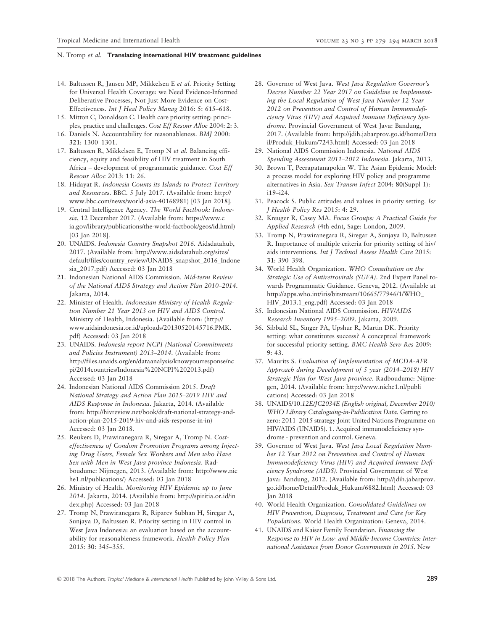- 14. Baltussen R, Jansen MP, Mikkelsen E et al. Priority Setting for Universal Health Coverage: we Need Evidence-Informed Deliberative Processes, Not Just More Evidence on Cost-Effectiveness. Int J Heal Policy Manag 2016: 5: 615–618.
- 15. Mitton C, Donaldson C. Health care priority setting: principles, practice and challenges. Cost Eff Resour Alloc 2004: 2: 3.
- 16. Daniels N. Accountability for reasonableness. BMJ 2000: 321: 1300–1301.
- 17. Baltussen R, Mikkelsen E, Tromp N et al. Balancing efficiency, equity and feasibility of HIV treatment in South Africa – development of programmatic guidance. Cost Eff Resour Alloc 2013: 11: 26.
- 18. Hidayat R. Indonesia Counts its Islands to Protect Territory and Resources. BBC. 5 July 2017. (Available from: [http://](http://www.bbc.com/news/world-asia-40168981) [www.bbc.com/news/world-asia-40168981\)](http://www.bbc.com/news/world-asia-40168981) [03 Jan 2018].
- 19. Central Intelligence Agency. The World Factbook: Indonesia, 12 December 2017. (Available from: [https://www.c](https://www.cia.gov/library/publications/the-world-factbook/geos/id.html) [ia.gov/library/publications/the-world-factbook/geos/id.html](https://www.cia.gov/library/publications/the-world-factbook/geos/id.html)) [03 Jan 2018].
- 20. UNAIDS. Indonesia Country Snapshot 2016. Aidsdatahub, 2017. (Available from: [http://www.aidsdatahub.org/sites/](http://www.aidsdatahub.org/sites/default/files/country_review/UNAIDS_snapshot_2016_Indonesia_2017.pdf) [default/files/country\\_review/UNAIDS\\_snapshot\\_2016\\_Indone](http://www.aidsdatahub.org/sites/default/files/country_review/UNAIDS_snapshot_2016_Indonesia_2017.pdf) [sia\\_2017.pdf\)](http://www.aidsdatahub.org/sites/default/files/country_review/UNAIDS_snapshot_2016_Indonesia_2017.pdf) Accessed: 03 Jan 2018
- 21. Indonesian National AIDS Commission. Mid-term Review of the National AIDS Strategy and Action Plan 2010–2014. Jakarta, 2014.
- 22. Minister of Health. Indonesian Ministry of Health Regulation Number 21 Year 2013 on HIV and AIDS Control. Ministry of Health, Indonesia. (Available from: [\(http://](http://www.aidsindonesia.or.id/uploads/20130520145716.PMK.pdf) [www.aidsindonesia.or.id/uploads/20130520145716.PMK.](http://www.aidsindonesia.or.id/uploads/20130520145716.PMK.pdf) [pdf\)](http://www.aidsindonesia.or.id/uploads/20130520145716.PMK.pdf) Accessed: 03 Jan 2018
- 23. UNAIDS. Indonesia report NCPI (National Commitments and Policies Instrument) 2013–2014. (Available from: [http://files.unaids.org/en/dataanalysis/knowyourresponse/nc](http://files.unaids.org/en/dataanalysis/knowyourresponse/ncpi/2014countries/Indonesia%20NCPI%202013.pdf) [pi/2014countries/Indonesia%20NCPI%202013.pdf](http://files.unaids.org/en/dataanalysis/knowyourresponse/ncpi/2014countries/Indonesia%20NCPI%202013.pdf)) Accessed: 03 Jan 2018
- 24. Indonesian National AIDS Commission 2015. Draft National Strategy and Action Plan 2015–2019 HIV and AIDS Response in Indonesia. Jakarta, 2014. (Available from: [http://hivreview.net/book/draft-national-strategy-and](http://hivreview.net/book/draft-national-strategy-and-action-plan-2015-2019-hiv-and-aids-response-in-in)[action-plan-2015-2019-hiv-and-aids-response-in-in\)](http://hivreview.net/book/draft-national-strategy-and-action-plan-2015-2019-hiv-and-aids-response-in-in) Accessed: 03 Jan 2018.
- 25. Reukers D, Prawiranegara R, Siregar A, Tromp N. Costeffectiveness of Condom Promotion Programs among Injecting Drug Users, Female Sex Workers and Men who Have Sex with Men in West Java province Indonesia. Radboudumc: Nijmegen, 2013. (Available from: [http://www.nic](http://www.niche1.nl/publications/) [he1.nl/publications/\)](http://www.niche1.nl/publications/) Accessed: 03 Jan 2018
- 26. Ministry of Health. Monitoring HIV Epidemic up to June 2014. Jakarta, 2014. (Available from: [http://spiritia.or.id/in](http://spiritia.or.id/index.php) [dex.php\)](http://spiritia.or.id/index.php) Accessed: 03 Jan 2018
- 27. Tromp N, Prawiranegara R, Riparev Subhan H, Siregar A, Sunjaya D, Baltussen R. Priority setting in HIV control in West Java Indonesia: an evaluation based on the accountability for reasonableness framework. Health Policy Plan 2015: 30: 345–355.
- 28. Governor of West Java. West Java Regulation Governor's Decree Number 22 Year 2017 on Guideline in Implementing the Local Regulation of West Java Number 12 Year 2012 on Prevention and Control of Human Immunodeficiency Virus (HIV) and Acquired Immune Deficiency Syndrome. Provincial Government of West Java: Bandung, 2017. (Available from: [http://jdih.jabarprov.go.id/home/Deta](http://jdih.jabarprov.go.id/home/Detail/Produk_Hukum/7243.html) [il/Produk\\_Hukum/7243.html](http://jdih.jabarprov.go.id/home/Detail/Produk_Hukum/7243.html)) Accessed: 03 Jan 2018
- 29. National AIDS Commission Indonesia. National AIDS Spending Assessment 2011–2012 Indonesia. Jakarta, 2013.
- 30. Brown T, Peerapatanapokin W. The Asian Epidemic Model: a process model for exploring HIV policy and programme alternatives in Asia. Sex Transm Infect 2004: 80(Suppl 1): i19–i24.
- 31. Peacock S. Public attitudes and values in priority setting. Isr J Health Policy Res 2015: 4: 29.
- 32. Kreuger R, Casey MA. Focus Groups: A Practical Guide for Applied Research (4th edn), Sage: London, 2009.
- 33. Tromp N, Prawiranegara R, Siregar A, Sunjaya D, Baltussen R. Importance of multiple criteria for priority setting of hiv/ aids interventions. Int J Technol Assess Health Care 2015: 31: 390–398.
- 34. World Health Organization. WHO Consultation on the Strategic Use of Antiretrovirals (SUFA). 2nd Expert Panel towards Programmatic Guidance. Geneva, 2012. (Available at [http://apps.who.int/iris/bitstream/10665/77946/1/WHO\\_](http://apps.who.int/iris/bitstream/10665/77946/1/WHO_HIV_2013.1_eng.pdf) [HIV\\_2013.1\\_eng.pdf\)](http://apps.who.int/iris/bitstream/10665/77946/1/WHO_HIV_2013.1_eng.pdf) Accessed: 03 Jan 2018
- 35. Indonesian National AIDS Commission. HIV/AIDS Research Inventory 1995–2009. Jakarta, 2009.
- 36. Sibbald SL, Singer PA, Upshur R, Martin DK. Priority setting: what constitutes success? A conceptual framework for successful priority setting. BMC Health Serv Res 2009: 9: 43.
- 37. Maurits S. Evaluation of Implementation of MCDA-AFR Approach during Development of 5 year (2014–2018) HIV Strategic Plan for West Java province. Radboudumc: Nijmegen, 2014. (Available from: [http://www.niche1.nl/publi](http://www.niche1.nl/publications) [cations\)](http://www.niche1.nl/publications) Accessed: 03 Jan 2018
- 38. UNAIDS/10.12E/JC2034E (English original, December 2010) WHO Library Cataloguing-in-Publication Data. Getting to zero: 2011–2015 strategy Joint United Nations Programme on HIV/AIDS (UNAIDS). 1. Acquired immunodeficiency syndrome - prevention and control. Geneva.
- 39. Governor of West Java. West Java Local Regulation Number 12 Year 2012 on Prevention and Control of Human Immunodeficiency Virus (HIV) and Acquired Immune Deficiency Syndrome (AIDS). Provincial Government of West Java: Bandung, 2012. (Available from: [http://jdih.jabarprov.](http://jdih.jabarprov.go.id/home/Detail/Produk_Hukum/6882.html) [go.id/home/Detail/Produk\\_Hukum/6882.html](http://jdih.jabarprov.go.id/home/Detail/Produk_Hukum/6882.html)) Accessed: 03 Jan 2018
- 40. World Health Organization. Consolidated Guidelines on HIV Prevention, Diagnosis, Treatment and Care for Key Populations. World Health Organization: Geneva, 2014.
- 41. UNAIDS and Kaiser Family Foundation. Financing the Response to HIV in Low- and Middle-Income Countries: International Assistance from Donor Governments in 2015. New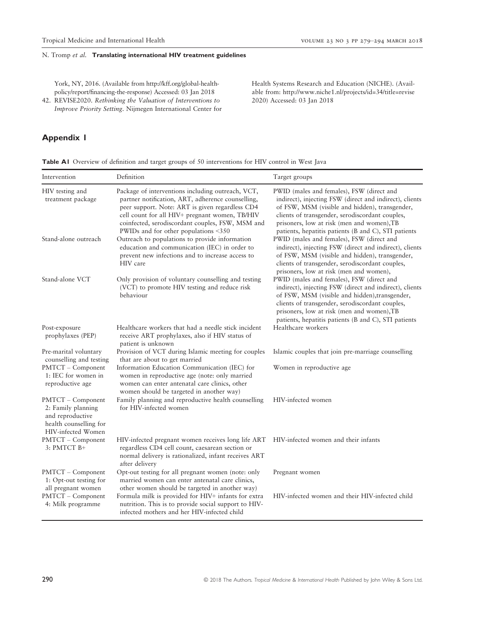Health Systems Research and Education (NICHE). (Available from: [http://www.niche1.nl/projects/id=34/title=revise](http://www.niche1.nl/projects/id=34/title=revise2020)

[2020](http://www.niche1.nl/projects/id=34/title=revise2020)) Accessed: 03 Jan 2018

### N. Tromp et al. Translating international HIV treatment guidelines

York, NY, 2016. (Available from [http://kff.org/global-health](http://kff.org/global-health-policy/report/financing-the-response)[policy/report/financing-the-response](http://kff.org/global-health-policy/report/financing-the-response)) Accessed: 03 Jan 2018

42. REVISE2020. Rethinking the Valuation of Interventions to Improve Priority Setting. Nijmegen International Center for

# Appendix 1

|  |  | Table AI Overview of definition and target groups of 50 interventions for HIV control in West Java |  |
|--|--|----------------------------------------------------------------------------------------------------|--|
|--|--|----------------------------------------------------------------------------------------------------|--|

| Intervention                                                                                                | Definition                                                                                                                                                                                                                                                                                              | Target groups                                                                                                                                                                                                                                                                                                   |
|-------------------------------------------------------------------------------------------------------------|---------------------------------------------------------------------------------------------------------------------------------------------------------------------------------------------------------------------------------------------------------------------------------------------------------|-----------------------------------------------------------------------------------------------------------------------------------------------------------------------------------------------------------------------------------------------------------------------------------------------------------------|
| HIV testing and<br>treatment package                                                                        | Package of interventions including outreach, VCT,<br>partner notification, ART, adherence counselling,<br>peer support. Note: ART is given regardless CD4<br>cell count for all HIV+ pregnant women, TB/HIV<br>coinfected, serodiscordant couples, FSW, MSM and<br>PWIDs and for other populations <350 | PWID (males and females), FSW (direct and<br>indirect), injecting FSW (direct and indirect), clients<br>of FSW, MSM (visible and hidden), transgender,<br>clients of transgender, serodiscordant couples,<br>prisoners, low at risk (men and women), TB<br>patients, hepatitis patients (B and C), STI patients |
| Stand-alone outreach                                                                                        | Outreach to populations to provide information<br>education and communication (IEC) in order to<br>prevent new infections and to increase access to<br>HIV care                                                                                                                                         | PWID (males and females), FSW (direct and<br>indirect), injecting FSW (direct and indirect), clients<br>of FSW, MSM (visible and hidden), transgender,<br>clients of transgender, serodiscordant couples,<br>prisoners, low at risk (men and women),                                                            |
| Stand-alone VCT                                                                                             | Only provision of voluntary counselling and testing<br>(VCT) to promote HIV testing and reduce risk<br>behaviour                                                                                                                                                                                        | PWID (males and females), FSW (direct and<br>indirect), injecting FSW (direct and indirect), clients<br>of FSW, MSM (visible and hidden), transgender,<br>clients of transgender, serodiscordant couples,<br>prisoners, low at risk (men and women), TB<br>patients, hepatitis patients (B and C), STI patients |
| Post-exposure<br>prophylaxes (PEP)                                                                          | Healthcare workers that had a needle stick incident<br>receive ART prophylaxes, also if HIV status of<br>patient is unknown                                                                                                                                                                             | Healthcare workers                                                                                                                                                                                                                                                                                              |
| Pre-marital voluntary<br>counselling and testing                                                            | Provision of VCT during Islamic meeting for couples<br>that are about to get married                                                                                                                                                                                                                    | Islamic couples that join pre-marriage counselling                                                                                                                                                                                                                                                              |
| PMTCT - Component<br>1: IEC for women in<br>reproductive age                                                | Information Education Communication (IEC) for<br>women in reproductive age (note: only married<br>women can enter antenatal care clinics, other<br>women should be targeted in another way)                                                                                                             | Women in reproductive age                                                                                                                                                                                                                                                                                       |
| PMTCT – Component<br>2: Family planning<br>and reproductive<br>health counselling for<br>HIV-infected Women | Family planning and reproductive health counselling<br>for HIV-infected women                                                                                                                                                                                                                           | HIV-infected women                                                                                                                                                                                                                                                                                              |
| PMTCT - Component<br>3: PMTCT B+                                                                            | HIV-infected pregnant women receives long life ART<br>regardless CD4 cell count, caesarean section or<br>normal delivery is rationalized, infant receives ART<br>after delivery                                                                                                                         | HIV-infected women and their infants                                                                                                                                                                                                                                                                            |
| PMTCT - Component<br>1: Opt-out testing for<br>all pregnant women                                           | Opt-out testing for all pregnant women (note: only<br>married women can enter antenatal care clinics,<br>other women should be targeted in another way)                                                                                                                                                 | Pregnant women                                                                                                                                                                                                                                                                                                  |
| PMTCT - Component<br>4: Milk programme                                                                      | Formula milk is provided for HIV+ infants for extra<br>nutrition. This is to provide social support to HIV-<br>infected mothers and her HIV-infected child                                                                                                                                              | HIV-infected women and their HIV-infected child                                                                                                                                                                                                                                                                 |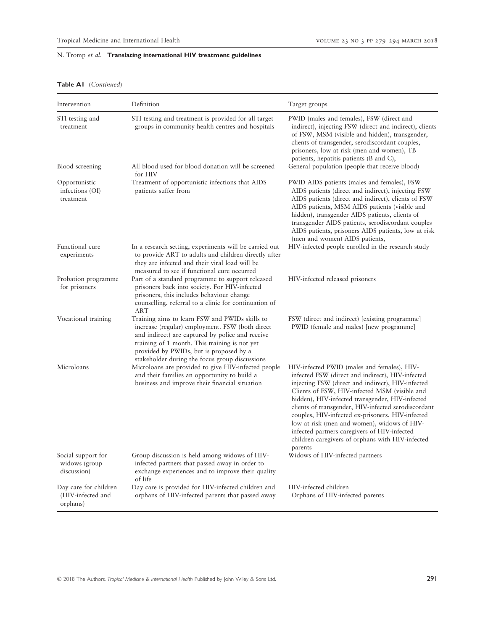# Table A1 (Continued)

| Intervention                                           | Definition                                                                                                                                                                                                                                                                                          | Target groups                                                                                                                                                                                                                                                                                                                                                                                                                                                                                                                     |
|--------------------------------------------------------|-----------------------------------------------------------------------------------------------------------------------------------------------------------------------------------------------------------------------------------------------------------------------------------------------------|-----------------------------------------------------------------------------------------------------------------------------------------------------------------------------------------------------------------------------------------------------------------------------------------------------------------------------------------------------------------------------------------------------------------------------------------------------------------------------------------------------------------------------------|
| STI testing and<br>treatment                           | STI testing and treatment is provided for all target<br>groups in community health centres and hospitals                                                                                                                                                                                            | PWID (males and females), FSW (direct and<br>indirect), injecting FSW (direct and indirect), clients<br>of FSW, MSM (visible and hidden), transgender,<br>clients of transgender, serodiscordant couples,<br>prisoners, low at risk (men and women), TB<br>patients, hepatitis patients (B and C),                                                                                                                                                                                                                                |
| Blood screening                                        | All blood used for blood donation will be screened<br>for HIV                                                                                                                                                                                                                                       | General population (people that receive blood)                                                                                                                                                                                                                                                                                                                                                                                                                                                                                    |
| Opportunistic<br>infections (OI)<br>treatment          | Treatment of opportunistic infections that AIDS<br>patients suffer from                                                                                                                                                                                                                             | PWID AIDS patients (males and females), FSW<br>AIDS patients (direct and indirect), injecting FSW<br>AIDS patients (direct and indirect), clients of FSW<br>AIDS patients, MSM AIDS patients (visible and<br>hidden), transgender AIDS patients, clients of<br>transgender AIDS patients, serodiscordant couples<br>AIDS patients, prisoners AIDS patients, low at risk<br>(men and women) AIDS patients,                                                                                                                         |
| Functional cure<br>experiments                         | In a research setting, experiments will be carried out<br>to provide ART to adults and children directly after<br>they are infected and their viral load will be<br>measured to see if functional cure occurred                                                                                     | HIV-infected people enrolled in the research study                                                                                                                                                                                                                                                                                                                                                                                                                                                                                |
| Probation programme<br>for prisoners                   | Part of a standard programme to support released<br>prisoners back into society. For HIV-infected<br>prisoners, this includes behaviour change<br>counselling, referral to a clinic for continuation of<br>ART                                                                                      | HIV-infected released prisoners                                                                                                                                                                                                                                                                                                                                                                                                                                                                                                   |
| Vocational training                                    | Training aims to learn FSW and PWIDs skills to<br>increase (regular) employment. FSW (both direct<br>and indirect) are captured by police and receive<br>training of 1 month. This training is not yet<br>provided by PWIDs, but is proposed by a<br>stakeholder during the focus group discussions | FSW (direct and indirect) [existing programme]<br>PWID (female and males) [new programme]                                                                                                                                                                                                                                                                                                                                                                                                                                         |
| Microloans                                             | Microloans are provided to give HIV-infected people<br>and their families an opportunity to build a<br>business and improve their financial situation                                                                                                                                               | HIV-infected PWID (males and females), HIV-<br>infected FSW (direct and indirect), HIV-infected<br>injecting FSW (direct and indirect), HIV-infected<br>Clients of FSW, HIV-infected MSM (visible and<br>hidden), HIV-infected transgender, HIV-infected<br>clients of transgender, HIV-infected serodiscordant<br>couples, HIV-infected ex-prisoners, HIV-infected<br>low at risk (men and women), widows of HIV-<br>infected partners caregivers of HIV-infected<br>children caregivers of orphans with HIV-infected<br>parents |
| Social support for<br>widows (group<br>discussion)     | Group discussion is held among widows of HIV-<br>infected partners that passed away in order to<br>exchange experiences and to improve their quality<br>of life                                                                                                                                     | Widows of HIV-infected partners                                                                                                                                                                                                                                                                                                                                                                                                                                                                                                   |
| Day care for children<br>(HIV-infected and<br>orphans) | Day care is provided for HIV-infected children and<br>orphans of HIV-infected parents that passed away                                                                                                                                                                                              | HIV-infected children<br>Orphans of HIV-infected parents                                                                                                                                                                                                                                                                                                                                                                                                                                                                          |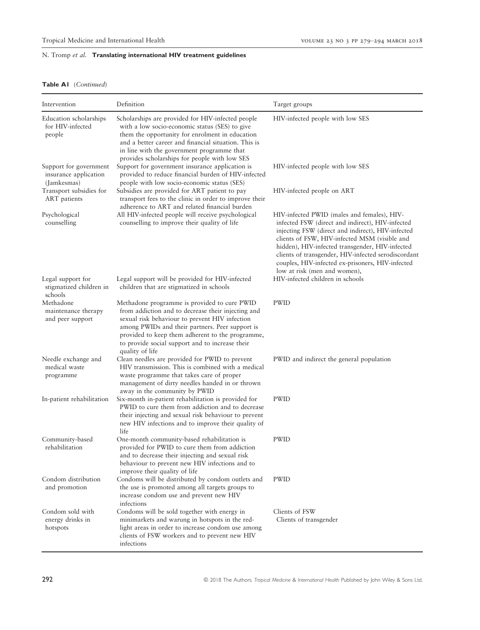# Table A1 (Continued)

| Intervention                                                   | Definition                                                                                                                                                                                                                                                                                                                        | Target groups                                                                                                                                                                                                                                                                                                                                                                                       |
|----------------------------------------------------------------|-----------------------------------------------------------------------------------------------------------------------------------------------------------------------------------------------------------------------------------------------------------------------------------------------------------------------------------|-----------------------------------------------------------------------------------------------------------------------------------------------------------------------------------------------------------------------------------------------------------------------------------------------------------------------------------------------------------------------------------------------------|
| Education scholarships<br>for HIV-infected<br>people           | Scholarships are provided for HIV-infected people<br>with a low socio-economic status (SES) to give<br>them the opportunity for enrolment in education<br>and a better career and financial situation. This is<br>in line with the government programme that<br>provides scholarships for people with low SES                     | HIV-infected people with low SES                                                                                                                                                                                                                                                                                                                                                                    |
| Support for government<br>insurance application<br>(Jamkesmas) | Support for government insurance application is<br>provided to reduce financial burden of HIV-infected<br>people with low socio-economic status (SES)                                                                                                                                                                             | HIV-infected people with low SES                                                                                                                                                                                                                                                                                                                                                                    |
| Transport subsidies for<br>ART patients                        | Subsidies are provided for ART patient to pay<br>transport fees to the clinic in order to improve their<br>adherence to ART and related financial burden                                                                                                                                                                          | HIV-infected people on ART                                                                                                                                                                                                                                                                                                                                                                          |
| Psychological<br>counselling                                   | All HIV-infected people will receive psychological<br>counselling to improve their quality of life                                                                                                                                                                                                                                | HIV-infected PWID (males and females), HIV-<br>infected FSW (direct and indirect), HIV-infected<br>injecting FSW (direct and indirect), HIV-infected<br>clients of FSW, HIV-infected MSM (visible and<br>hidden), HIV-infected transgender, HIV-infected<br>clients of transgender, HIV-infected serodiscordant<br>couples, HIV-infected ex-prisoners, HIV-infected<br>low at risk (men and women), |
| Legal support for<br>stigmatized children in<br>schools        | Legal support will be provided for HIV-infected<br>children that are stigmatized in schools                                                                                                                                                                                                                                       | HIV-infected children in schools                                                                                                                                                                                                                                                                                                                                                                    |
| Methadone<br>maintenance therapy<br>and peer support           | Methadone programme is provided to cure PWID<br>from addiction and to decrease their injecting and<br>sexual risk behaviour to prevent HIV infection<br>among PWIDs and their partners. Peer support is<br>provided to keep them adherent to the programme,<br>to provide social support and to increase their<br>quality of life | <b>PWID</b>                                                                                                                                                                                                                                                                                                                                                                                         |
| Needle exchange and<br>medical waste<br>programme              | Clean needles are provided for PWID to prevent<br>HIV transmission. This is combined with a medical<br>waste programme that takes care of proper<br>management of dirty needles handed in or thrown<br>away in the community by PWID                                                                                              | PWID and indirect the general population                                                                                                                                                                                                                                                                                                                                                            |
| In-patient rehabilitation                                      | Six-month in-patient rehabilitation is provided for<br>PWID to cure them from addiction and to decrease<br>their injecting and sexual risk behaviour to prevent<br>new HIV infections and to improve their quality of<br>life                                                                                                     | <b>PWID</b>                                                                                                                                                                                                                                                                                                                                                                                         |
| Community-based<br>rehabilitation                              | One-month community-based rehabilitation is<br>provided for PWID to cure them from addiction<br>and to decrease their injecting and sexual risk<br>behaviour to prevent new HIV infections and to<br>improve their quality of life                                                                                                | <b>PWID</b>                                                                                                                                                                                                                                                                                                                                                                                         |
| Condom distribution<br>and promotion                           | Condoms will be distributed by condom outlets and<br>the use is promoted among all targets groups to<br>increase condom use and prevent new HIV<br>infections                                                                                                                                                                     | <b>PWID</b>                                                                                                                                                                                                                                                                                                                                                                                         |
| Condom sold with<br>energy drinks in<br>hotspots               | Condoms will be sold together with energy in<br>minimarkets and warung in hotspots in the red-<br>light areas in order to increase condom use among<br>clients of FSW workers and to prevent new HIV<br>infections                                                                                                                | Clients of FSW<br>Clients of transgender                                                                                                                                                                                                                                                                                                                                                            |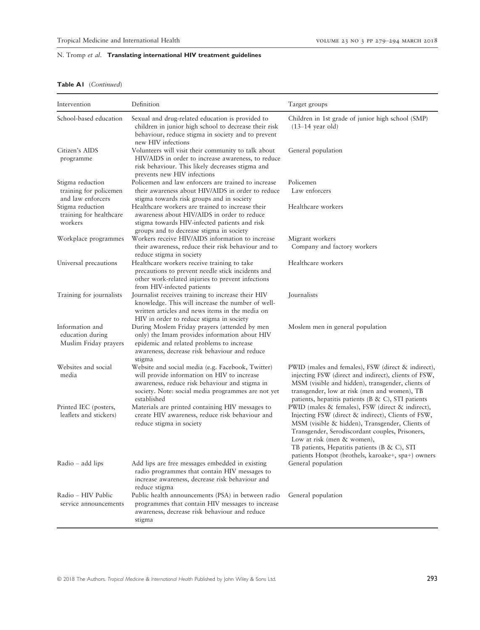# Table A1 (Continued)

| Intervention                                                    | Definition                                                                                                                                                                                                              | Target groups                                                                                                                                                                                                                                                                                                                                    |
|-----------------------------------------------------------------|-------------------------------------------------------------------------------------------------------------------------------------------------------------------------------------------------------------------------|--------------------------------------------------------------------------------------------------------------------------------------------------------------------------------------------------------------------------------------------------------------------------------------------------------------------------------------------------|
| School-based education                                          | Sexual and drug-related education is provided to<br>children in junior high school to decrease their risk<br>behaviour, reduce stigma in society and to prevent<br>new HIV infections                                   | Children in 1st grade of junior high school (SMP)<br>$(13-14 \text{ year old})$                                                                                                                                                                                                                                                                  |
| Citizen's AIDS<br>programme                                     | Volunteers will visit their community to talk about<br>HIV/AIDS in order to increase awareness, to reduce<br>risk behaviour. This likely decreases stigma and<br>prevents new HIV infections                            | General population                                                                                                                                                                                                                                                                                                                               |
| Stigma reduction<br>training for policemen<br>and law enforcers | Policemen and law enforcers are trained to increase<br>their awareness about HIV/AIDS in order to reduce<br>stigma towards risk groups and in society                                                                   | Policemen<br>Law enforcers                                                                                                                                                                                                                                                                                                                       |
| Stigma reduction<br>training for healthcare<br>workers          | Healthcare workers are trained to increase their<br>awareness about HIV/AIDS in order to reduce<br>stigma towards HIV-infected patients and risk<br>groups and to decrease stigma in society                            | Healthcare workers                                                                                                                                                                                                                                                                                                                               |
| Workplace programmes                                            | Workers receive HIV/AIDS information to increase<br>their awareness, reduce their risk behaviour and to<br>reduce stigma in society                                                                                     | Migrant workers<br>Company and factory workers                                                                                                                                                                                                                                                                                                   |
| Universal precautions                                           | Healthcare workers receive training to take<br>precautions to prevent needle stick incidents and<br>other work-related injuries to prevent infections<br>from HIV-infected patients                                     | Healthcare workers                                                                                                                                                                                                                                                                                                                               |
| Training for journalists                                        | Journalist receives training to increase their HIV<br>knowledge. This will increase the number of well-<br>written articles and news items in the media on<br>HIV in order to reduce stigma in society                  | Journalists                                                                                                                                                                                                                                                                                                                                      |
| Information and<br>education during<br>Muslim Friday prayers    | During Moslem Friday prayers (attended by men<br>only) the Imam provides information about HIV<br>epidemic and related problems to increase<br>awareness, decrease risk behaviour and reduce<br>stigma                  | Moslem men in general population                                                                                                                                                                                                                                                                                                                 |
| Websites and social<br>media                                    | Website and social media (e.g. Facebook, Twitter)<br>will provide information on HIV to increase<br>awareness, reduce risk behaviour and stigma in<br>society. Note: social media programmes are not yet<br>established | PWID (males and females), FSW (direct & indirect),<br>injecting FSW (direct and indirect), clients of FSW,<br>MSM (visible and hidden), transgender, clients of<br>transgender, low at risk (men and women), TB<br>patients, hepatitis patients (B & C), STI patients                                                                            |
| Printed IEC (posters,<br>leaflets and stickers)                 | Materials are printed containing HIV messages to<br>create HIV awareness, reduce risk behaviour and<br>reduce stigma in society                                                                                         | PWID (males & females), FSW (direct & indirect),<br>Injecting FSW (direct & indirect), Clients of FSW,<br>MSM (visible & hidden), Transgender, Clients of<br>Transgender, Serodiscordant couples, Prisoners,<br>Low at risk (men & women),<br>TB patients, Hepatitis patients (B & C), STI<br>patients Hotspot (brothels, karoake+, spa+) owners |
| Radio – add lips                                                | Add lips are free messages embedded in existing<br>radio programmes that contain HIV messages to<br>increase awareness, decrease risk behaviour and<br>reduce stigma                                                    | General population                                                                                                                                                                                                                                                                                                                               |
| Radio – HIV Public<br>service announcements                     | Public health announcements (PSA) in between radio<br>programmes that contain HIV messages to increase<br>awareness, decrease risk behaviour and reduce<br>stigma                                                       | General population                                                                                                                                                                                                                                                                                                                               |